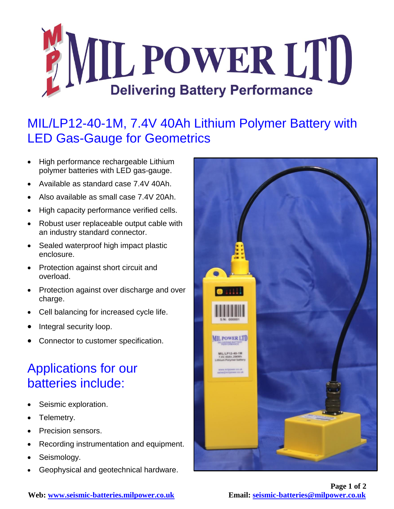

## MIL/LP12-40-1M, 7.4V 40Ah Lithium Polymer Battery with LED Gas-Gauge for Geometrics

- High performance rechargeable Lithium polymer batteries with LED gas-gauge.
- Available as standard case 7.4V 40Ah.
- Also available as small case 7.4V 20Ah.
- High capacity performance verified cells.
- Robust user replaceable output cable with an industry standard connector.
- Sealed waterproof high impact plastic enclosure.
- Protection against short circuit and overload.
- Protection against over discharge and over charge.
- Cell balancing for increased cycle life.
- Integral security loop.
- Connector to customer specification.

## Applications for our batteries include:

- Seismic exploration.
- Telemetry.
- Precision sensors.
- Recording instrumentation and equipment.
- Seismology.
- Geophysical and geotechnical hardware.